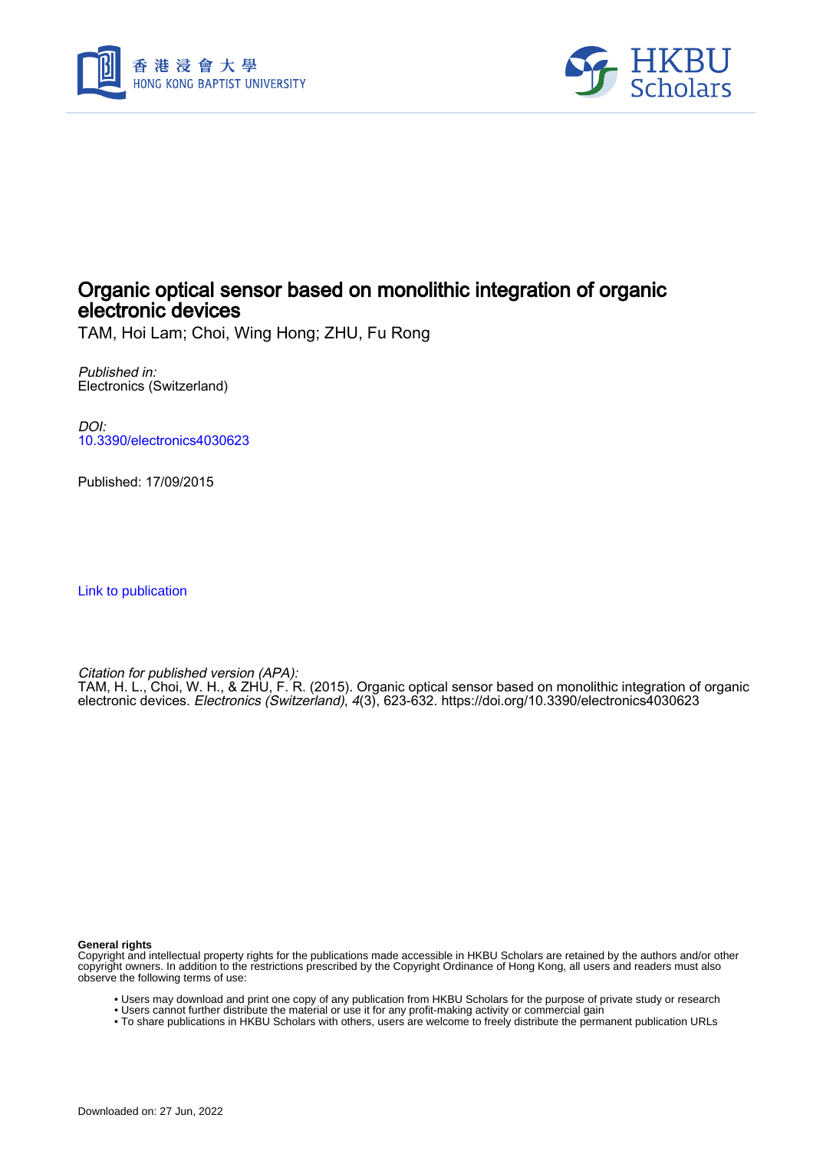



## Organic optical sensor based on monolithic integration of organic electronic devices

TAM, Hoi Lam; Choi, Wing Hong; ZHU, Fu Rong

Published in: Electronics (Switzerland)

DOI: [10.3390/electronics4030623](https://doi.org/10.3390/electronics4030623)

Published: 17/09/2015

[Link to publication](https://scholars.hkbu.edu.hk/en/publications/7c894323-11f6-4aeb-8389-3ffea25422de)

Citation for published version (APA):

TAM, H. L., Choi, W. H., & ZHU, F. R. (2015). Organic optical sensor based on monolithic integration of organic electronic devices. Electronics (Switzerland), 4(3), 623-632.<https://doi.org/10.3390/electronics4030623>

**General rights**

Copyright and intellectual property rights for the publications made accessible in HKBU Scholars are retained by the authors and/or other copyright owners. In addition to the restrictions prescribed by the Copyright Ordinance of Hong Kong, all users and readers must also observe the following terms of use:

- Users may download and print one copy of any publication from HKBU Scholars for the purpose of private study or research
- Users cannot further distribute the material or use it for any profit-making activity or commercial gain
- To share publications in HKBU Scholars with others, users are welcome to freely distribute the permanent publication URLs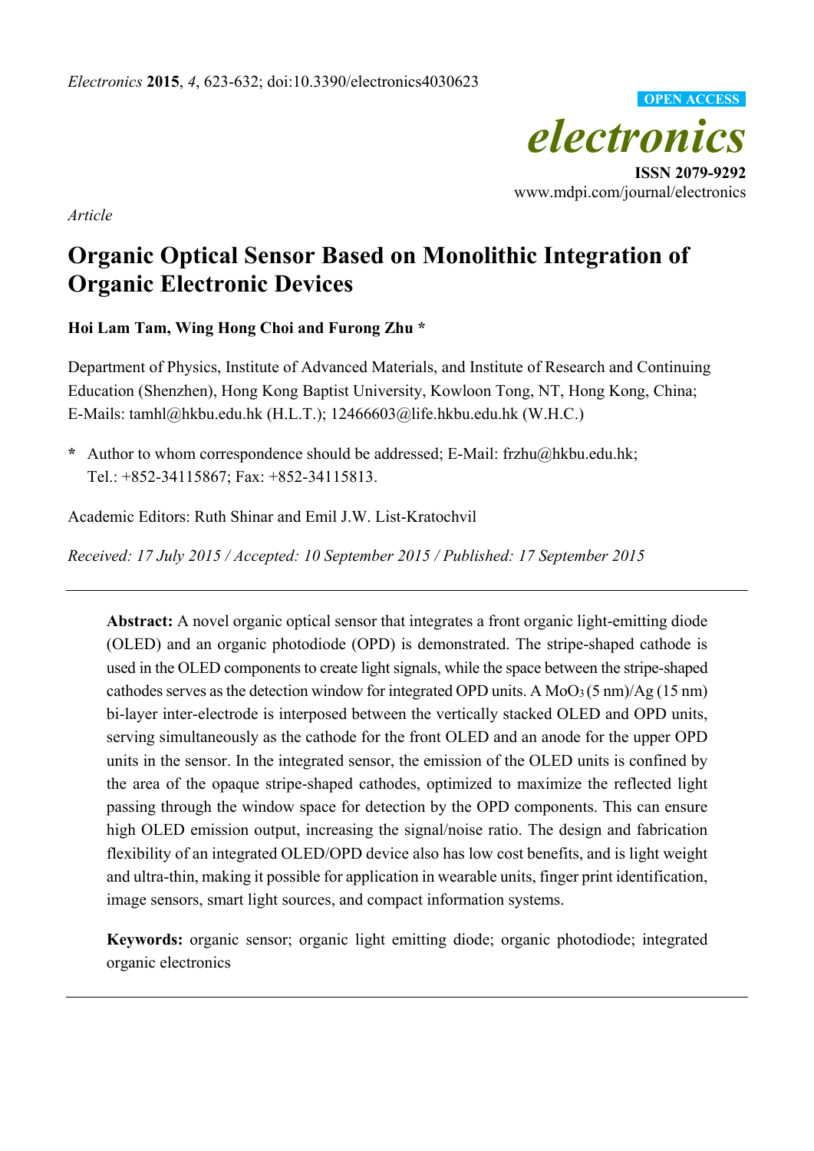

*Article* 

# **Organic Optical Sensor Based on Monolithic Integration of Organic Electronic Devices**

## **Hoi Lam Tam, Wing Hong Choi and Furong Zhu \***

Department of Physics, Institute of Advanced Materials, and Institute of Research and Continuing Education (Shenzhen), Hong Kong Baptist University, Kowloon Tong, NT, Hong Kong, China; E-Mails: tamhl@hkbu.edu.hk (H.L.T.); 12466603@life.hkbu.edu.hk (W.H.C.)

**\*** Author to whom correspondence should be addressed; E-Mail: frzhu@hkbu.edu.hk; Tel.: +852-34115867; Fax: +852-34115813.

Academic Editors: Ruth Shinar and Emil J.W. List-Kratochvil

*Received: 17 July 2015 / Accepted: 10 September 2015 / Published: 17 September 2015* 

**Abstract:** A novel organic optical sensor that integrates a front organic light-emitting diode (OLED) and an organic photodiode (OPD) is demonstrated. The stripe-shaped cathode is used in the OLED components to create light signals, while the space between the stripe-shaped cathodes serves as the detection window for integrated OPD units. A  $MoO<sub>3</sub>(5 nm)/Ag (15 nm)$ bi-layer inter-electrode is interposed between the vertically stacked OLED and OPD units, serving simultaneously as the cathode for the front OLED and an anode for the upper OPD units in the sensor. In the integrated sensor, the emission of the OLED units is confined by the area of the opaque stripe-shaped cathodes, optimized to maximize the reflected light passing through the window space for detection by the OPD components. This can ensure high OLED emission output, increasing the signal/noise ratio. The design and fabrication flexibility of an integrated OLED/OPD device also has low cost benefits, and is light weight and ultra-thin, making it possible for application in wearable units, finger print identification, image sensors, smart light sources, and compact information systems.

**Keywords:** organic sensor; organic light emitting diode; organic photodiode; integrated organic electronics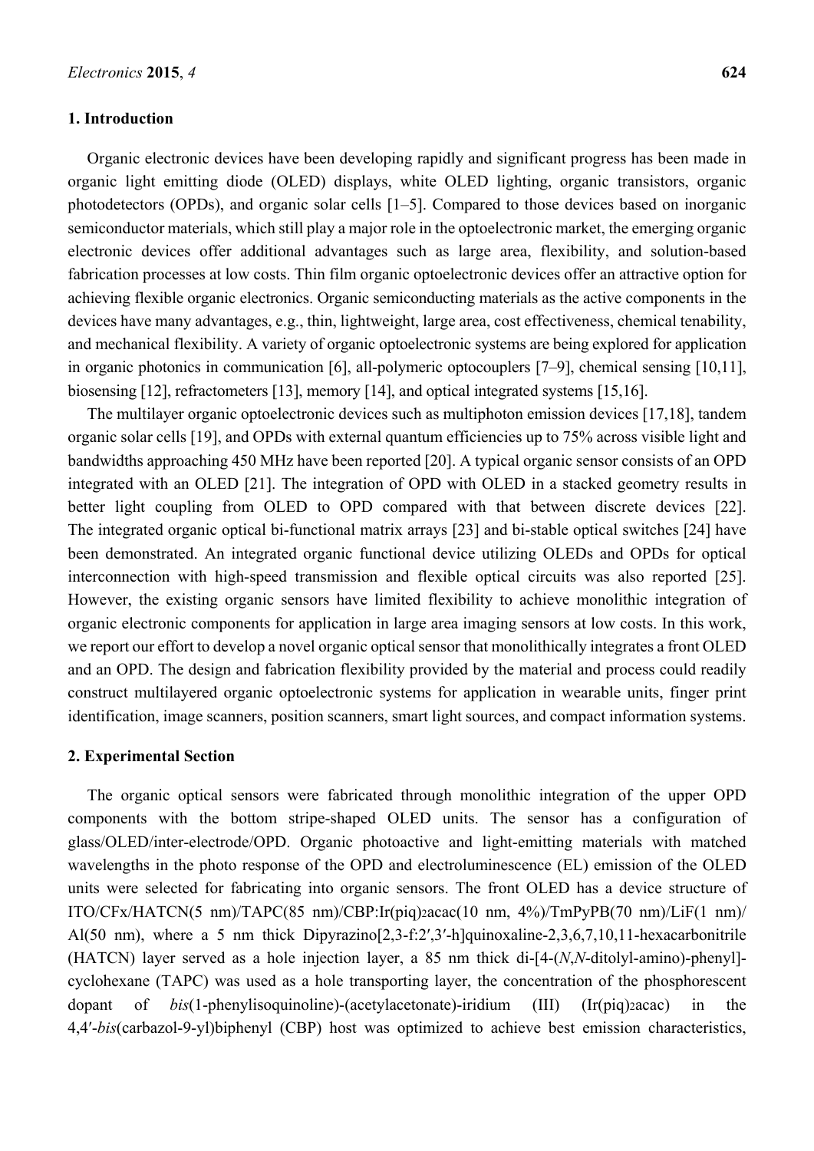#### **1. Introduction**

Organic electronic devices have been developing rapidly and significant progress has been made in organic light emitting diode (OLED) displays, white OLED lighting, organic transistors, organic photodetectors (OPDs), and organic solar cells [1–5]. Compared to those devices based on inorganic semiconductor materials, which still play a major role in the optoelectronic market, the emerging organic electronic devices offer additional advantages such as large area, flexibility, and solution-based fabrication processes at low costs. Thin film organic optoelectronic devices offer an attractive option for achieving flexible organic electronics. Organic semiconducting materials as the active components in the devices have many advantages, e.g., thin, lightweight, large area, cost effectiveness, chemical tenability, and mechanical flexibility. A variety of organic optoelectronic systems are being explored for application in organic photonics in communication [6], all-polymeric optocouplers [7–9], chemical sensing [10,11], biosensing [12], refractometers [13], memory [14], and optical integrated systems [15,16].

The multilayer organic optoelectronic devices such as multiphoton emission devices [17,18], tandem organic solar cells [19], and OPDs with external quantum efficiencies up to 75% across visible light and bandwidths approaching 450 MHz have been reported [20]. A typical organic sensor consists of an OPD integrated with an OLED [21]. The integration of OPD with OLED in a stacked geometry results in better light coupling from OLED to OPD compared with that between discrete devices [22]. The integrated organic optical bi-functional matrix arrays [23] and bi-stable optical switches [24] have been demonstrated. An integrated organic functional device utilizing OLEDs and OPDs for optical interconnection with high-speed transmission and flexible optical circuits was also reported [25]. However, the existing organic sensors have limited flexibility to achieve monolithic integration of organic electronic components for application in large area imaging sensors at low costs. In this work, we report our effort to develop a novel organic optical sensor that monolithically integrates a front OLED and an OPD. The design and fabrication flexibility provided by the material and process could readily construct multilayered organic optoelectronic systems for application in wearable units, finger print identification, image scanners, position scanners, smart light sources, and compact information systems.

#### **2. Experimental Section**

The organic optical sensors were fabricated through monolithic integration of the upper OPD components with the bottom stripe-shaped OLED units. The sensor has a configuration of glass/OLED/inter-electrode/OPD. Organic photoactive and light-emitting materials with matched wavelengths in the photo response of the OPD and electroluminescence (EL) emission of the OLED units were selected for fabricating into organic sensors. The front OLED has a device structure of  $ITO/CFx/HATCN(5 nm)/TAPC(85 nm)/CBP:Ir(piq)_{2}acac(10 nm, 4%)/TmPyPB(70 nm)/LiF(1 nm)/$ Al(50 nm), where a 5 nm thick Dipyrazino[2,3-f:2′,3′-h]quinoxaline-2,3,6,7,10,11-hexacarbonitrile (HATCN) layer served as a hole injection layer, a 85 nm thick di-[4-(*N*,*N*-ditolyl-amino)-phenyl] cyclohexane (TAPC) was used as a hole transporting layer, the concentration of the phosphorescent dopant of *bis*(1-phenylisoquinoline)-(acetylacetonate)-iridium (III) (Ir(piq)2acac) in the 4,4′-*bis*(carbazol-9-yl)biphenyl (CBP) host was optimized to achieve best emission characteristics,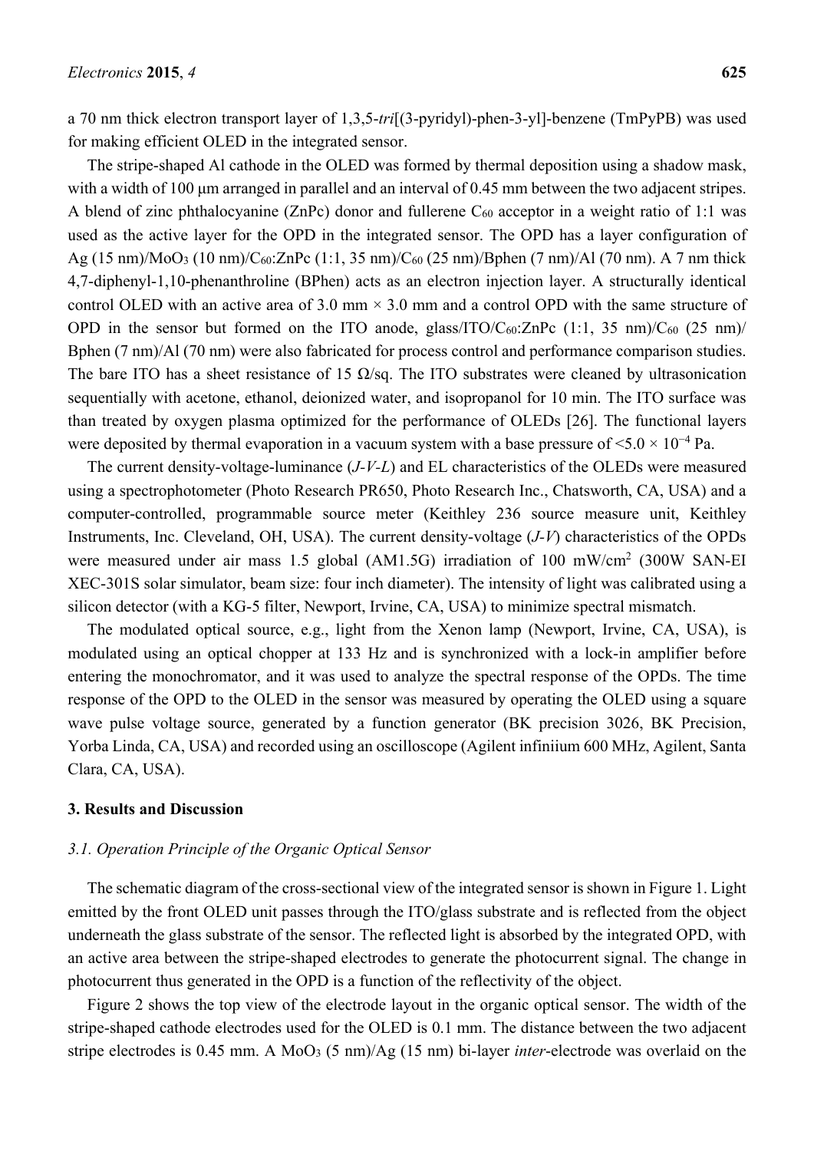a 70 nm thick electron transport layer of 1,3,5-*tri*[(3-pyridyl)-phen-3-yl]-benzene (TmPyPB) was used for making efficient OLED in the integrated sensor.

The stripe-shaped Al cathode in the OLED was formed by thermal deposition using a shadow mask, with a width of 100 μm arranged in parallel and an interval of 0.45 mm between the two adjacent stripes. A blend of zinc phthalocyanine (ZnPc) donor and fullerene  $C_{60}$  acceptor in a weight ratio of 1:1 was used as the active layer for the OPD in the integrated sensor. The OPD has a layer configuration of Ag  $(15 \text{ nm})/\text{MoO}_3$   $(10 \text{ nm})/\text{C}_{60}$ :ZnPc  $(1:1, 35 \text{ nm})/\text{C}_{60}$   $(25 \text{ nm})/\text{Bphen}$   $(7 \text{ nm})/\text{Al}$   $(70 \text{ nm})$ . A 7 nm thick 4,7-diphenyl-1,10-phenanthroline (BPhen) acts as an electron injection layer. A structurally identical control OLED with an active area of 3.0 mm  $\times$  3.0 mm and a control OPD with the same structure of OPD in the sensor but formed on the ITO anode, glass/ITO/ $C_{60}$ : $ZnPc$  (1:1, 35 nm)/ $C_{60}$  (25 nm)/ Bphen (7 nm)/Al (70 nm) were also fabricated for process control and performance comparison studies. The bare ITO has a sheet resistance of 15  $\Omega$ /sq. The ITO substrates were cleaned by ultrasonication sequentially with acetone, ethanol, deionized water, and isopropanol for 10 min. The ITO surface was than treated by oxygen plasma optimized for the performance of OLEDs [26]. The functional layers were deposited by thermal evaporation in a vacuum system with a base pressure of  $\leq 5.0 \times 10^{-4}$  Pa.

The current density-voltage-luminance (*J-V-L*) and EL characteristics of the OLEDs were measured using a spectrophotometer (Photo Research PR650, Photo Research Inc., Chatsworth, CA, USA) and a computer-controlled, programmable source meter (Keithley 236 source measure unit, Keithley Instruments, Inc. Cleveland, OH, USA). The current density-voltage (*J-V*) characteristics of the OPDs were measured under air mass 1.5 global (AM1.5G) irradiation of 100 mW/cm<sup>2</sup> (300W SAN-EI XEC-301S solar simulator, beam size: four inch diameter). The intensity of light was calibrated using a silicon detector (with a KG-5 filter, Newport, Irvine, CA, USA) to minimize spectral mismatch.

The modulated optical source, e.g., light from the Xenon lamp (Newport, Irvine, CA, USA), is modulated using an optical chopper at 133 Hz and is synchronized with a lock-in amplifier before entering the monochromator, and it was used to analyze the spectral response of the OPDs. The time response of the OPD to the OLED in the sensor was measured by operating the OLED using a square wave pulse voltage source, generated by a function generator (BK precision 3026, BK Precision, Yorba Linda, CA, USA) and recorded using an oscilloscope (Agilent infiniium 600 MHz, Agilent, Santa Clara, CA, USA).

#### **3. Results and Discussion**

#### *3.1. Operation Principle of the Organic Optical Sensor*

The schematic diagram of the cross-sectional view of the integrated sensor is shown in Figure 1. Light emitted by the front OLED unit passes through the ITO/glass substrate and is reflected from the object underneath the glass substrate of the sensor. The reflected light is absorbed by the integrated OPD, with an active area between the stripe-shaped electrodes to generate the photocurrent signal. The change in photocurrent thus generated in the OPD is a function of the reflectivity of the object.

Figure 2 shows the top view of the electrode layout in the organic optical sensor. The width of the stripe-shaped cathode electrodes used for the OLED is 0.1 mm. The distance between the two adjacent stripe electrodes is 0.45 mm. A MoO3 (5 nm)/Ag (15 nm) bi-layer *inter*-electrode was overlaid on the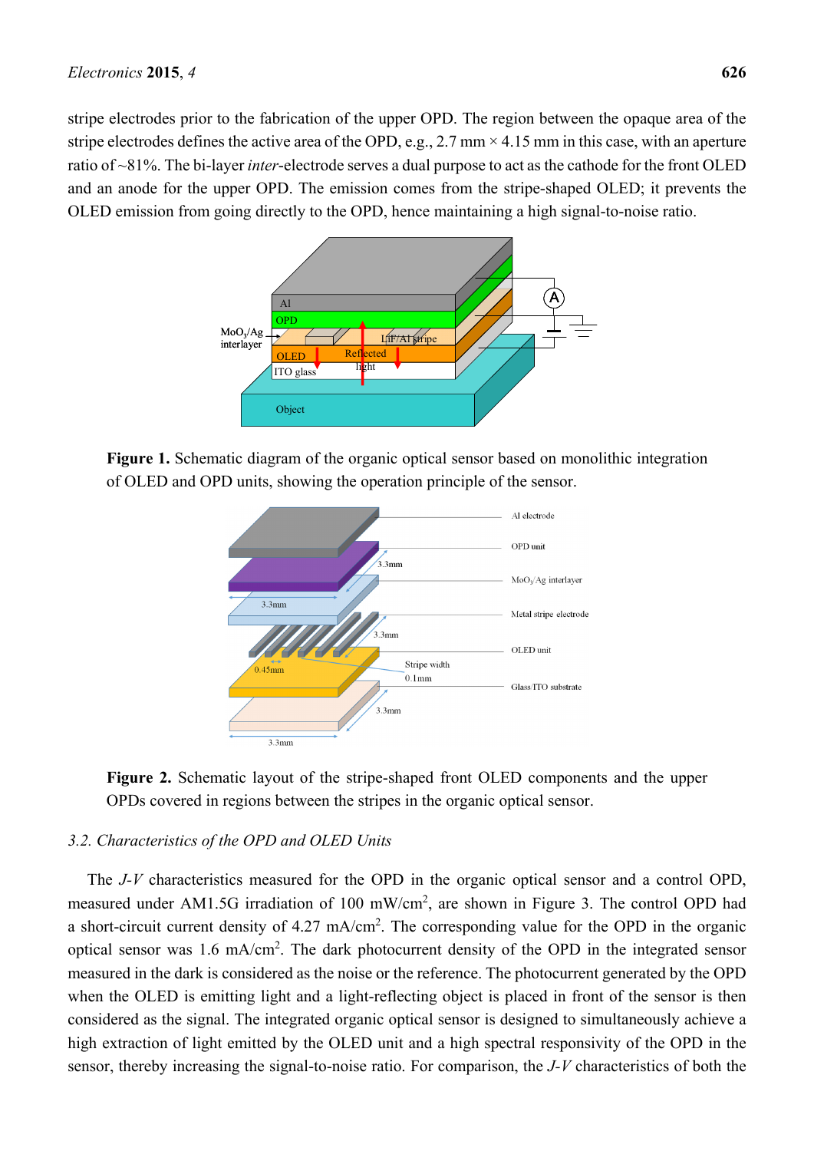stripe electrodes prior to the fabrication of the upper OPD. The region between the opaque area of the stripe electrodes defines the active area of the OPD, e.g., 2.7 mm  $\times$  4.15 mm in this case, with an aperture ratio of ~81%. The bi-layer *inter*-electrode serves a dual purpose to act as the cathode for the front OLED and an anode for the upper OPD. The emission comes from the stripe-shaped OLED; it prevents the OLED emission from going directly to the OPD, hence maintaining a high signal-to-noise ratio.



**Figure 1.** Schematic diagram of the organic optical sensor based on monolithic integration of OLED and OPD units, showing the operation principle of the sensor.



**Figure 2.** Schematic layout of the stripe-shaped front OLED components and the upper OPDs covered in regions between the stripes in the organic optical sensor.

## *3.2. Characteristics of the OPD and OLED Units*

The *J-V* characteristics measured for the OPD in the organic optical sensor and a control OPD, measured under AM1.5G irradiation of 100 mW/cm<sup>2</sup>, are shown in Figure 3. The control OPD had a short-circuit current density of 4.27 mA/cm<sup>2</sup>. The corresponding value for the OPD in the organic optical sensor was 1.6 mA/cm<sup>2</sup>. The dark photocurrent density of the OPD in the integrated sensor measured in the dark is considered as the noise or the reference. The photocurrent generated by the OPD when the OLED is emitting light and a light-reflecting object is placed in front of the sensor is then considered as the signal. The integrated organic optical sensor is designed to simultaneously achieve a high extraction of light emitted by the OLED unit and a high spectral responsivity of the OPD in the sensor, thereby increasing the signal-to-noise ratio. For comparison, the *J-V* characteristics of both the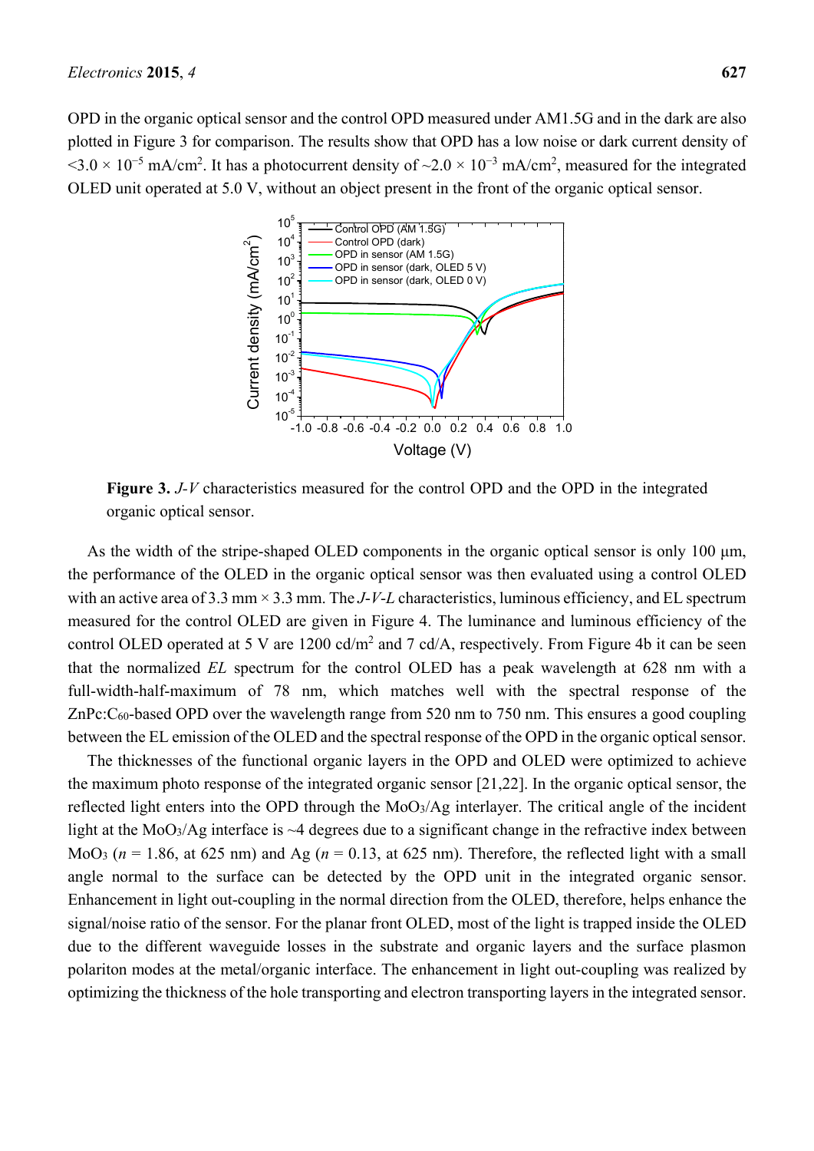OPD in the organic optical sensor and the control OPD measured under AM1.5G and in the dark are also plotted in Figure 3 for comparison. The results show that OPD has a low noise or dark current density of  $\leq 3.0 \times 10^{-5}$  mA/cm<sup>2</sup>. It has a photocurrent density of  $\sim 2.0 \times 10^{-3}$  mA/cm<sup>2</sup>, measured for the integrated OLED unit operated at 5.0 V, without an object present in the front of the organic optical sensor.



**Figure 3.** *J-V* characteristics measured for the control OPD and the OPD in the integrated organic optical sensor.

As the width of the stripe-shaped OLED components in the organic optical sensor is only 100 μm, the performance of the OLED in the organic optical sensor was then evaluated using a control OLED with an active area of 3.3 mm × 3.3 mm. The *J*-*V*-*L* characteristics, luminous efficiency, and EL spectrum measured for the control OLED are given in Figure 4. The luminance and luminous efficiency of the control OLED operated at 5 V are  $1200 \text{ cd/m}^2$  and 7 cd/A, respectively. From Figure 4b it can be seen that the normalized *EL* spectrum for the control OLED has a peak wavelength at 628 nm with a full-width-half-maximum of 78 nm, which matches well with the spectral response of the ZnPc:C<sub>60</sub>-based OPD over the wavelength range from 520 nm to 750 nm. This ensures a good coupling between the EL emission of the OLED and the spectral response of the OPD in the organic optical sensor.

The thicknesses of the functional organic layers in the OPD and OLED were optimized to achieve the maximum photo response of the integrated organic sensor [21,22]. In the organic optical sensor, the reflected light enters into the OPD through the MoO3/Ag interlayer. The critical angle of the incident light at the MoO<sub>3</sub>/Ag interface is  $\sim$ 4 degrees due to a significant change in the refractive index between MoO<sub>3</sub> ( $n = 1.86$ , at 625 nm) and Ag ( $n = 0.13$ , at 625 nm). Therefore, the reflected light with a small angle normal to the surface can be detected by the OPD unit in the integrated organic sensor. Enhancement in light out-coupling in the normal direction from the OLED, therefore, helps enhance the signal/noise ratio of the sensor. For the planar front OLED, most of the light is trapped inside the OLED due to the different waveguide losses in the substrate and organic layers and the surface plasmon polariton modes at the metal/organic interface. The enhancement in light out-coupling was realized by optimizing the thickness of the hole transporting and electron transporting layers in the integrated sensor.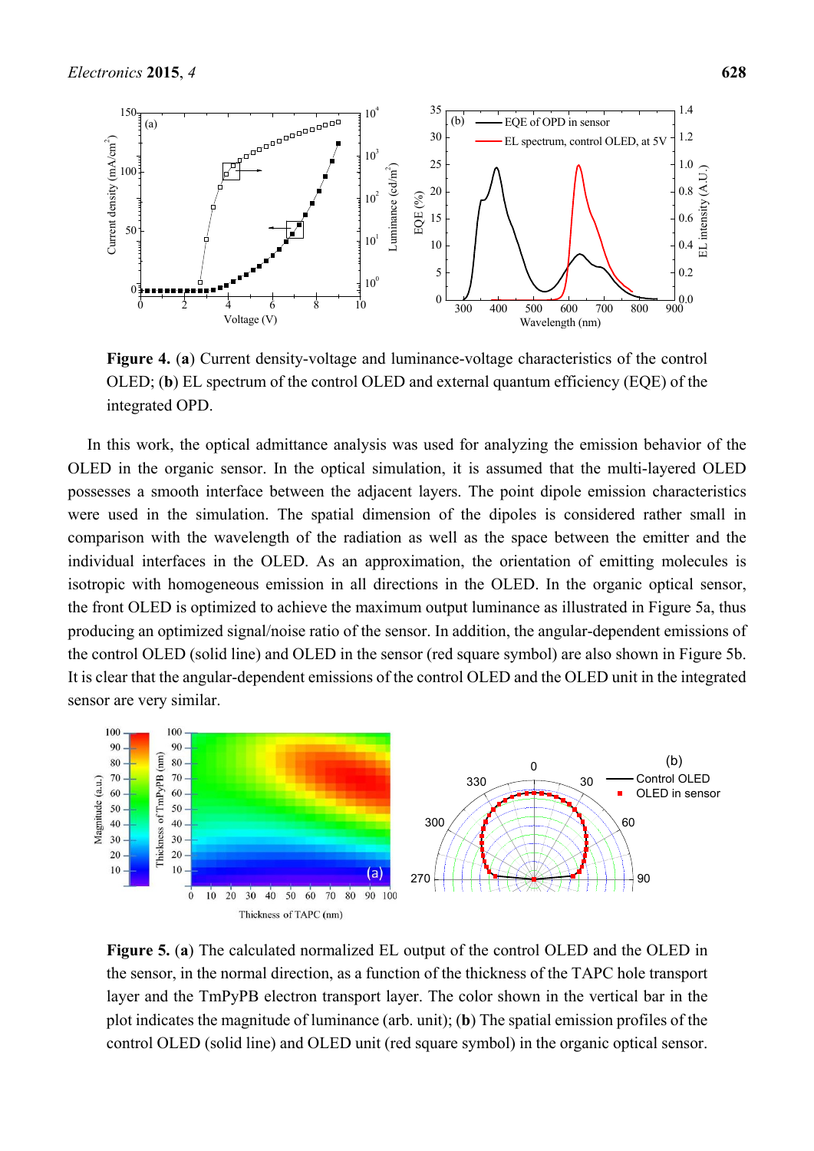

**Figure 4.** (**a**) Current density-voltage and luminance-voltage characteristics of the control OLED; (**b**) EL spectrum of the control OLED and external quantum efficiency (EQE) of the integrated OPD.

In this work, the optical admittance analysis was used for analyzing the emission behavior of the OLED in the organic sensor. In the optical simulation, it is assumed that the multi-layered OLED possesses a smooth interface between the adjacent layers. The point dipole emission characteristics were used in the simulation. The spatial dimension of the dipoles is considered rather small in comparison with the wavelength of the radiation as well as the space between the emitter and the individual interfaces in the OLED. As an approximation, the orientation of emitting molecules is isotropic with homogeneous emission in all directions in the OLED. In the organic optical sensor, the front OLED is optimized to achieve the maximum output luminance as illustrated in Figure 5a, thus producing an optimized signal/noise ratio of the sensor. In addition, the angular-dependent emissions of the control OLED (solid line) and OLED in the sensor (red square symbol) are also shown in Figure 5b. It is clear that the angular-dependent emissions of the control OLED and the OLED unit in the integrated sensor are very similar.



**Figure 5.** (**a**) The calculated normalized EL output of the control OLED and the OLED in the sensor, in the normal direction, as a function of the thickness of the TAPC hole transport layer and the TmPyPB electron transport layer. The color shown in the vertical bar in the plot indicates the magnitude of luminance (arb. unit); (**b**) The spatial emission profiles of the control OLED (solid line) and OLED unit (red square symbol) in the organic optical sensor.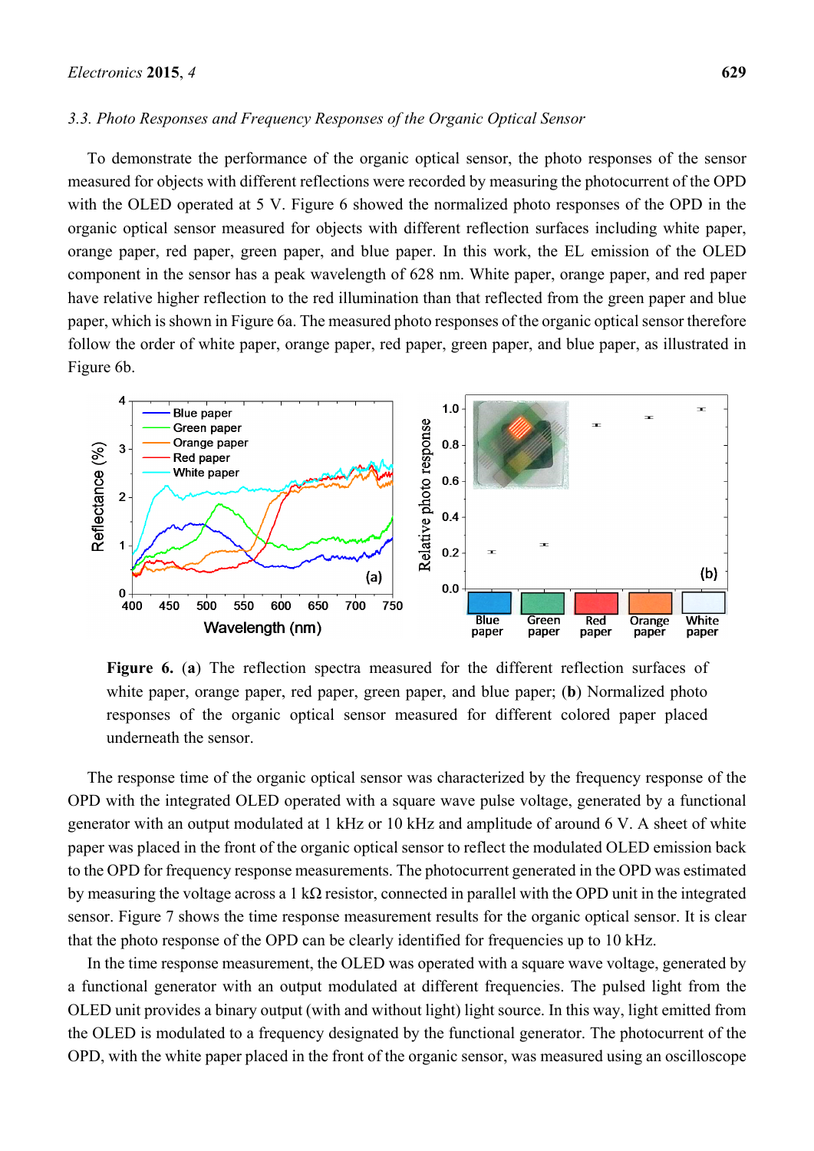#### *3.3. Photo Responses and Frequency Responses of the Organic Optical Sensor*

To demonstrate the performance of the organic optical sensor, the photo responses of the sensor measured for objects with different reflections were recorded by measuring the photocurrent of the OPD with the OLED operated at 5 V. Figure 6 showed the normalized photo responses of the OPD in the organic optical sensor measured for objects with different reflection surfaces including white paper, orange paper, red paper, green paper, and blue paper. In this work, the EL emission of the OLED component in the sensor has a peak wavelength of 628 nm. White paper, orange paper, and red paper have relative higher reflection to the red illumination than that reflected from the green paper and blue paper, which is shown in Figure 6a. The measured photo responses of the organic optical sensor therefore follow the order of white paper, orange paper, red paper, green paper, and blue paper, as illustrated in Figure 6b.



**Figure 6.** (**a**) The reflection spectra measured for the different reflection surfaces of white paper, orange paper, red paper, green paper, and blue paper; (**b**) Normalized photo responses of the organic optical sensor measured for different colored paper placed underneath the sensor.

The response time of the organic optical sensor was characterized by the frequency response of the OPD with the integrated OLED operated with a square wave pulse voltage, generated by a functional generator with an output modulated at 1 kHz or 10 kHz and amplitude of around 6 V. A sheet of white paper was placed in the front of the organic optical sensor to reflect the modulated OLED emission back to the OPD for frequency response measurements. The photocurrent generated in the OPD was estimated by measuring the voltage across a 1 kΩ resistor, connected in parallel with the OPD unit in the integrated sensor. Figure 7 shows the time response measurement results for the organic optical sensor. It is clear that the photo response of the OPD can be clearly identified for frequencies up to 10 kHz.

In the time response measurement, the OLED was operated with a square wave voltage, generated by a functional generator with an output modulated at different frequencies. The pulsed light from the OLED unit provides a binary output (with and without light) light source. In this way, light emitted from the OLED is modulated to a frequency designated by the functional generator. The photocurrent of the OPD, with the white paper placed in the front of the organic sensor, was measured using an oscilloscope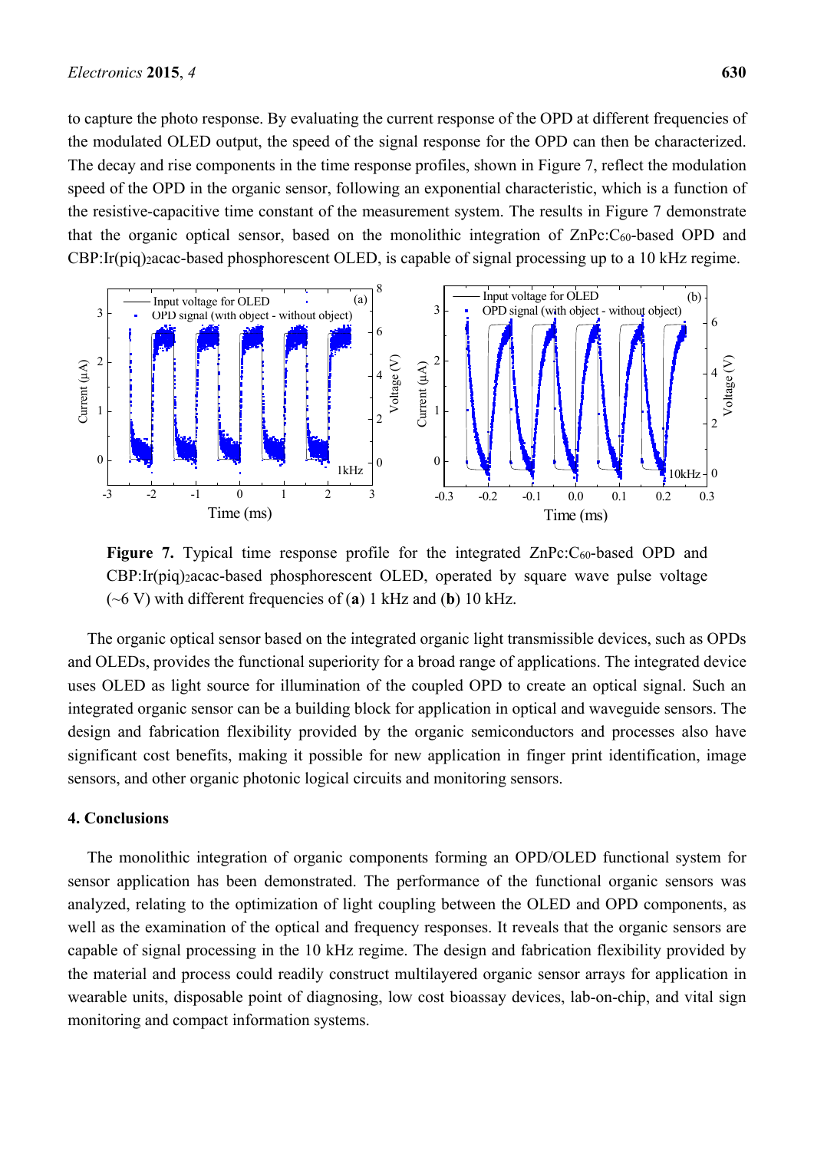to capture the photo response. By evaluating the current response of the OPD at different frequencies of the modulated OLED output, the speed of the signal response for the OPD can then be characterized. The decay and rise components in the time response profiles, shown in Figure 7, reflect the modulation speed of the OPD in the organic sensor, following an exponential characteristic, which is a function of the resistive-capacitive time constant of the measurement system. The results in Figure 7 demonstrate that the organic optical sensor, based on the monolithic integration of ZnPc:C60-based OPD and CBP:Ir(piq)2acac-based phosphorescent OLED, is capable of signal processing up to a 10 kHz regime.



**Figure 7.** Typical time response profile for the integrated ZnPc:C<sub>60</sub>-based OPD and CBP:Ir(piq)2acac-based phosphorescent OLED, operated by square wave pulse voltage (~6 V) with different frequencies of (**a**) 1 kHz and (**b**) 10 kHz.

The organic optical sensor based on the integrated organic light transmissible devices, such as OPDs and OLEDs, provides the functional superiority for a broad range of applications. The integrated device uses OLED as light source for illumination of the coupled OPD to create an optical signal. Such an integrated organic sensor can be a building block for application in optical and waveguide sensors. The design and fabrication flexibility provided by the organic semiconductors and processes also have significant cost benefits, making it possible for new application in finger print identification, image sensors, and other organic photonic logical circuits and monitoring sensors.

#### **4. Conclusions**

The monolithic integration of organic components forming an OPD/OLED functional system for sensor application has been demonstrated. The performance of the functional organic sensors was analyzed, relating to the optimization of light coupling between the OLED and OPD components, as well as the examination of the optical and frequency responses. It reveals that the organic sensors are capable of signal processing in the 10 kHz regime. The design and fabrication flexibility provided by the material and process could readily construct multilayered organic sensor arrays for application in wearable units, disposable point of diagnosing, low cost bioassay devices, lab-on-chip, and vital sign monitoring and compact information systems.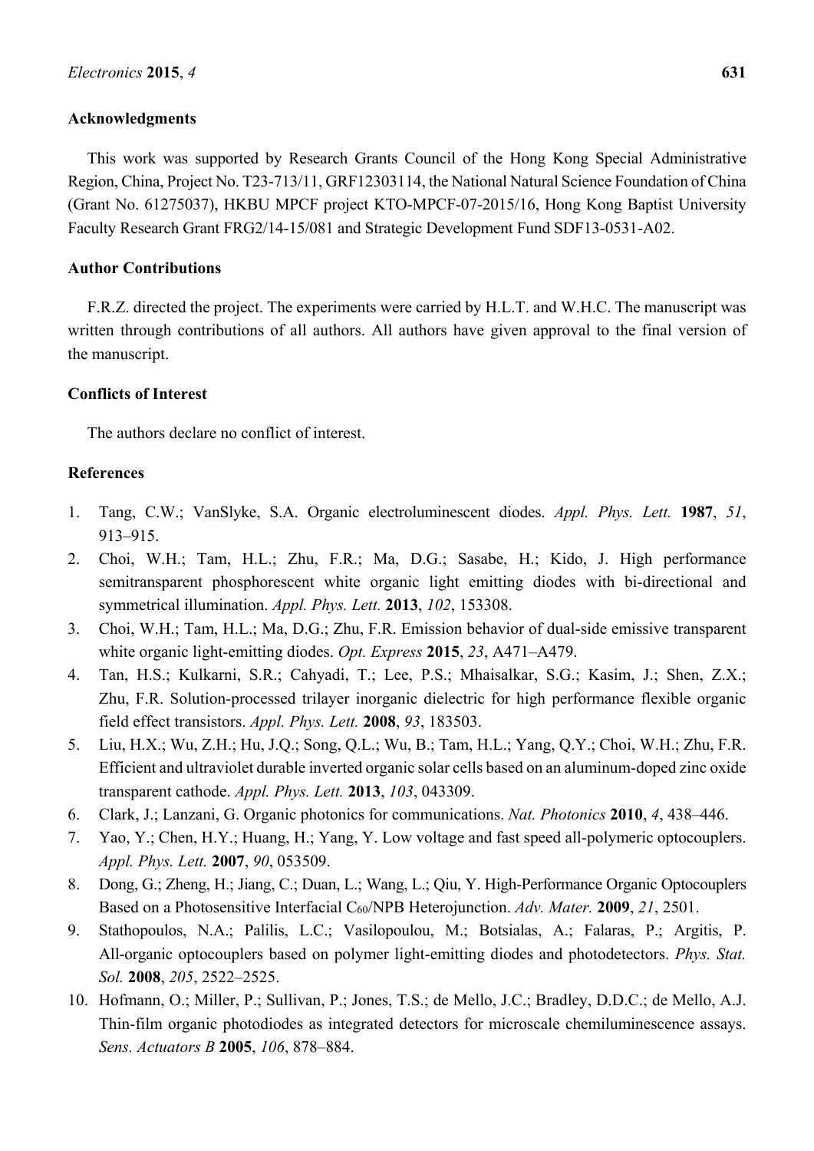## **Acknowledgments**

This work was supported by Research Grants Council of the Hong Kong Special Administrative Region, China, Project No. T23-713/11, GRF12303114, the National Natural Science Foundation of China (Grant No. 61275037), HKBU MPCF project KTO-MPCF-07-2015/16, Hong Kong Baptist University Faculty Research Grant FRG2/14-15/081 and Strategic Development Fund SDF13-0531-A02.

## **Author Contributions**

F.R.Z. directed the project. The experiments were carried by H.L.T. and W.H.C. The manuscript was written through contributions of all authors. All authors have given approval to the final version of the manuscript.

### **Conflicts of Interest**

The authors declare no conflict of interest.

### **References**

- 1. Tang, C.W.; VanSlyke, S.A. Organic electroluminescent diodes. *Appl. Phys. Lett.* **1987**, *51*, 913–915.
- 2. Choi, W.H.; Tam, H.L.; Zhu, F.R.; Ma, D.G.; Sasabe, H.; Kido, J. High performance semitransparent phosphorescent white organic light emitting diodes with bi-directional and symmetrical illumination. *Appl. Phys. Lett.* **2013**, *102*, 153308.
- 3. Choi, W.H.; Tam, H.L.; Ma, D.G.; Zhu, F.R. Emission behavior of dual-side emissive transparent white organic light-emitting diodes. *Opt. Express* **2015**, *23*, A471–A479.
- 4. Tan, H.S.; Kulkarni, S.R.; Cahyadi, T.; Lee, P.S.; Mhaisalkar, S.G.; Kasim, J.; Shen, Z.X.; Zhu, F.R. Solution-processed trilayer inorganic dielectric for high performance flexible organic field effect transistors. *Appl. Phys. Lett.* **2008**, *93*, 183503.
- 5. Liu, H.X.; Wu, Z.H.; Hu, J.Q.; Song, Q.L.; Wu, B.; Tam, H.L.; Yang, Q.Y.; Choi, W.H.; Zhu, F.R. Efficient and ultraviolet durable inverted organic solar cells based on an aluminum-doped zinc oxide transparent cathode. *Appl. Phys. Lett.* **2013**, *103*, 043309.
- 6. Clark, J.; Lanzani, G. Organic photonics for communications. *Nat. Photonics* **2010**, *4*, 438–446.
- 7. Yao, Y.; Chen, H.Y.; Huang, H.; Yang, Y. Low voltage and fast speed all-polymeric optocouplers. *Appl. Phys. Lett.* **2007**, *90*, 053509.
- 8. Dong, G.; Zheng, H.; Jiang, C.; Duan, L.; Wang, L.; Qiu, Y. High-Performance Organic Optocouplers Based on a Photosensitive Interfacial C60/NPB Heterojunction. *Adv. Mater.* **2009**, *21*, 2501.
- 9. Stathopoulos, N.A.; Palilis, L.C.; Vasilopoulou, M.; Botsialas, A.; Falaras, P.; Argitis, P. All-organic optocouplers based on polymer light-emitting diodes and photodetectors. *Phys. Stat. Sol.* **2008**, *205*, 2522–2525.
- 10. Hofmann, O.; Miller, P.; Sullivan, P.; Jones, T.S.; de Mello, J.C.; Bradley, D.D.C.; de Mello, A.J. Thin-film organic photodiodes as integrated detectors for microscale chemiluminescence assays. *Sens. Actuators B* **2005**, *106*, 878–884.